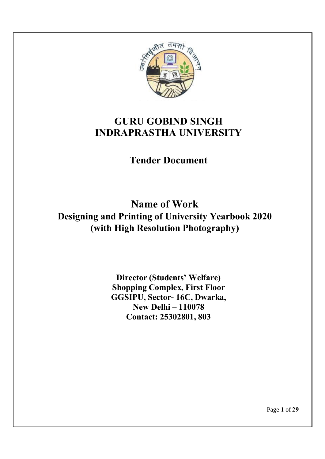

# **GURU GOBIND SINGH INDRAPRASTHA UNIVERSITY**

**Tender Document**

**Name of Work Designing and Printing of University Yearbook 2020 (with High Resolution Photography)**

> **Director (Students' Welfare) Shopping Complex, First Floor GGSIPU, Sector- 16C, Dwarka, New Delhi – 110078 Contact: 25302801, 803**

> > Page **1** of **29**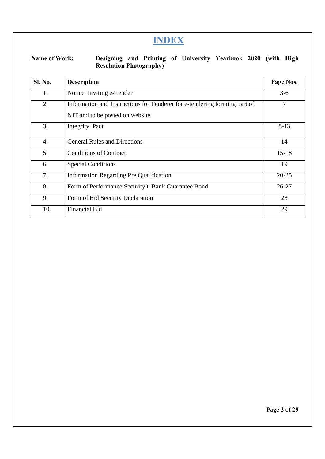# **INDEX**

**Name of Work: Designing and Printing of University Yearbook 2020 (with High Resolution Photography)**

| <b>Sl. No.</b> | <b>Description</b>                                                        | Page Nos.      |
|----------------|---------------------------------------------------------------------------|----------------|
| 1.             | Notice Inviting e-Tender                                                  | $3-6$          |
| 2.             | Information and Instructions for Tenderer for e-tendering forming part of | $\overline{7}$ |
|                | NIT and to be posted on website                                           |                |
| 3.             | Integrity Pact                                                            | $8-13$         |
| 4.             | <b>General Rules and Directions</b>                                       | 14             |
| 5.             | <b>Conditions of Contract</b>                                             | $15 - 18$      |
| 6.             | <b>Special Conditions</b>                                                 | 19             |
| 7.             | <b>Information Regarding Pre Qualification</b>                            | $20 - 25$      |
| 8.             | Form of Performance Security ó Bank Guarantee Bond                        | $26 - 27$      |
| 9.             | Form of Bid Security Declaration                                          | 28             |
| 10.            | <b>Financial Bid</b>                                                      | 29             |

Page **2** of **29**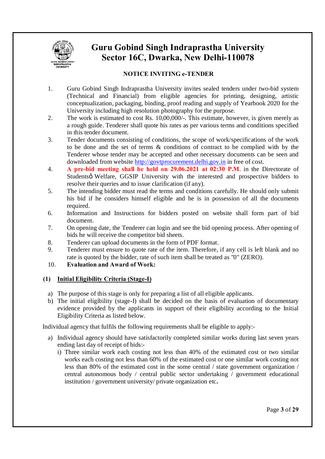

# **Guru Gobind Singh Indraprastha University Sector 16C, Dwarka, New Delhi-110078**

# **NOTICE INVITING e-TENDER**

- 1. Guru Gobind Singh Indraprastha University invites sealed tenders under two-bid system (Technical and Financial) from eligible agencies for printing, designing, artistic conceptualization, packaging, binding, proof reading and supply of Yearbook 2020 for the University including high resolution photography for the purpose.
- 2. The work is estimated to cost Rs. 10,00,000/-. This estimate, however, is given merely as a rough guide. Tenderer shall quote his rates as per various terms and conditions specified in this tender document.
- 3. Tender documents consisting of conditions, the scope of work/specifications of the work to be done and the set of terms & conditions of contract to be complied with by the Tenderer whose tender may be accepted and other necessary documents can be seen and downloaded from website http://govtprocurement.delhi.gov.in in free of cost.
- 4. **A pre-bid meeting shall be held on 29.06.2021 at 02:30 P.M**. in the Directorate of Studentsø Welfare, GGSIP University with the interested and prospective bidders to resolve their queries and to issue clarification (if any).
- 5. The intending bidder must read the terms and conditions carefully. He should only submit his bid if he considers himself eligible and he is in possession of all the documents required.
- 6. Information and Instructions for bidders posted on website shall form part of bid document.
- 7. On opening date, the Tenderer can login and see the bid opening process. After opening of bids he will receive the competitor bid sheets.
- 8. Tenderer can upload documents in the form of PDF format.
- 9. Tenderer must ensure to quote rate of the item. Therefore, if any cell is left blank and no rate is quoted by the bidder, rate of such item shall be treated as "0" (ZERO).
- 10. **Evaluation and Award of Work:**

# **(1) Initial Eligibility Criteria (Stage-I)**

- a) The purpose of this stage is only for preparing a list of all eligible applicants.
- b) The initial eligibility (stage-I) shall be decided on the basis of evaluation of documentary evidence provided by the applicants in support of their eligibility according to the Initial Eligibility Criteria as listed below.

Individual agency that fulfils the following requirements shall be eligible to apply:-

- a) Individual agency should have satisfactorily completed similar works during last seven years ending last day of receipt of bids:
	- i) Three similar work each costing not less than 40% of the estimated cost or two similar works each costing not less than 60% of the estimated cost or one similar work costing not less than 80% of the estimated cost in the some central / state government organization / central autonomous body / central public sector undertaking / government educational institution / government university/ private organization etc**.**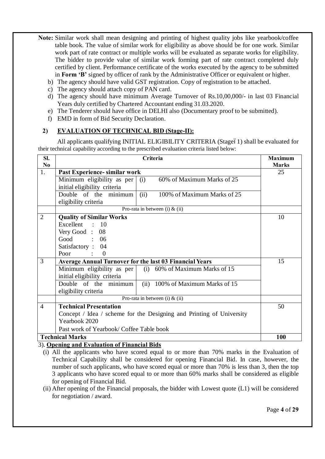- **Note:** Similar work shall mean designing and printing of highest quality jobs like yearbook/coffee table book. The value of similar work for eligibility as above should be for one work. Similar work part of rate contract or multiple works will be evaluated as separate works for eligibility. The bidder to provide value of similar work forming part of rate contract completed duly certified by client. Performance certificate of the works executed by the agency to be submitted in **Form 'B'** signed by officer of rank by the Administrative Officer or equivalent or higher.
	- b) The agency should have valid GST registration. Copy of registration to be attached.
	- c) The agency should attach copy of PAN card.
	- d) The agency should have minimum Average Turnover of Rs.10,00,000/- in last 03 Financial Years duly certified by Chartered Accountant ending 31.03.2020.
	- e) The Tenderer should have office in DELHI also (Documentary proof to be submitted).
	- f) EMD in form of Bid Security Declaration.

# **2) EVALUATION OF TECHNICAL BID (Stage-II):**

All applicants qualifying INITIAL ELIGIBILITY CRITERIA (Stageó1) shall be evaluated for their technical capability according to the prescribed evaluation criteria listed below:

| SI.<br>N <sub>0</sub> |                                                                      | Criteria                         | <b>Maximum</b><br><b>Marks</b> |
|-----------------------|----------------------------------------------------------------------|----------------------------------|--------------------------------|
| 1.                    | Past Experience- similar work                                        | 25                               |                                |
|                       | Minimum eligibility as per<br>(i)                                    | 60% of Maximum Marks of 25       |                                |
|                       | initial eligibility criteria                                         |                                  |                                |
|                       | (ii)<br>Double of the minimum                                        | 100% of Maximum Marks of 25      |                                |
|                       | eligibility criteria                                                 |                                  |                                |
|                       | Pro-rata in between (i) $&$ (ii)                                     |                                  |                                |
| $\overline{2}$        | <b>Quality of Similar Works</b>                                      |                                  | 10                             |
|                       | Excellent : 10                                                       |                                  |                                |
|                       | Very Good: 08                                                        |                                  |                                |
|                       | Good : 06                                                            |                                  |                                |
|                       | Satisfactory: 04                                                     |                                  |                                |
|                       | Poor<br>$\therefore$ 0                                               |                                  |                                |
| 3                     | <b>Average Annual Turnover for the last 03 Financial Years</b>       | 15                               |                                |
|                       | Minimum eligibility as per<br>(i) $60\%$ of Maximum Marks of 15      |                                  |                                |
|                       | initial eligibility criteria                                         |                                  |                                |
|                       | Double of the minimum                                                | (ii) 100% of Maximum Marks of 15 |                                |
|                       | eligibility criteria                                                 |                                  |                                |
|                       | Pro-rata in between (i) $&$ (ii)                                     |                                  |                                |
| $\overline{4}$        | <b>Technical Presentation</b>                                        |                                  | 50                             |
|                       | Concept / Idea / scheme for the Designing and Printing of University |                                  |                                |
|                       | Yearbook 2020                                                        |                                  |                                |
|                       | Past work of Yearbook/ Coffee Table book                             |                                  |                                |
|                       | <b>Technical Marks</b>                                               |                                  | <b>100</b>                     |

3). **Opening and Evaluation of Financial Bids**

- (i) All the applicants who have scored equal to or more than 70% marks in the Evaluation of Technical Capability shall be considered for opening Financial Bid. In case, however, the number of such applicants, who have scored equal or more than 70% is less than 3, then the top 3 applicants who have scored equal to or more than 60% marks shall be considered as eligible for opening of Financial Bid.
- (ii) After opening of the Financial proposals, the bidder with Lowest quote (L1) will be considered for negotiation / award.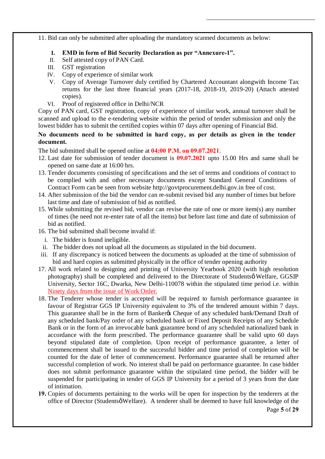11. Bid can only be submitted after uploading the mandatory scanned documents as below:

- **I. EMD in form of Bid Security Declaration as per "Annexure-1".**
- II. Self attested copy of PAN Card.
- III. GST registration
- IV. Copy of experience of similar work
- V. Copy of Average Turnover duly certified by Chartered Accountant alongwith Income Tax returns for the last three financial years (2017-18, 2018-19, 2019-20) (Attach attested copies).
- VI. Proof of registered office in Delhi/NCR

Copy of PAN card, GST registration, copy of experience of similar work, annual turnover shall be scanned and upload to the e-tendering website within the period of tender submission and only the lowest bidder has to submit the certified copies within 07 days after opening of Financial Bid.

**No documents need to be submitted in hard copy, as per details as given in the tender document.**

The bid submitted shall be opened online at **04:00 P.M. on 09.07.2021**.

- 12. Last date for submission of tender document is **09.07.2021** upto 15.00 Hrs and same shall be opened on same date at 16:00 hrs.
- 13. Tender documents consisting of specifications and the set of terms and conditions of contract to be complied with and other necessary documents except Standard General Conditions of Contract Form can be seen from website http://govtprocurement.delhi.gov.in free of cost.
- 14. After submission of the bid the vendor can re-submit revised bid any number of times but before last time and date of submission of bid as notified.
- 15. While submitting the revised bid, vendor can revise the rate of one or more item(s) any number of times (he need not re-enter rate of all the items) but before last time and date of submission of bid as notified.
- 16. The bid submitted shall become invalid if:
	- i. The bidder is found ineligible.
- ii. The bidder does not upload all the documents as stipulated in the bid document.
- iii. If any discrepancy is noticed between the documents as uploaded at the time of submission of bid and hard copies as submitted physically in the office of tender opening authority
- 17. All work related to designing and printing of University Yearbook 2020 (with high resolution photography) shall be completed and delivered to the Directorate of Studentsø Welfare, GGSIP University, Sector 16C, Dwarka, New Delhi-110078 within the stipulated time period i.e. within Ninety days from the issue of Work Order.
- 18. The Tenderer whose tender is accepted will be required to furnish performance guarantee in favour of Registrar GGS IP University equivalent to 3% of the tendered amount within 7 days. This guarantee shall be in the form of Banker& Cheque of any scheduled bank/Demand Draft of any scheduled bank/Pay order of any scheduled bank or Fixed Deposit Receipts of any Schedule Bank or in the form of an irrevocable bank guarantee bond of any scheduled nationalized bank in accordance with the form prescribed. The performance guarantee shall be valid upto 60 days beyond stipulated date of completion. Upon receipt of performance guarantee, a letter of commencement shall be issued to the successful bidder and time period of completion will be counted for the date of letter of commencement. Performance guarantee shall be returned after successful completion of work. No interest shall be paid on performance guarantee. In case bidder does not submit performance guarantee within the stipulated time period, the bidder will be suspended for participating in tender of GGS IP University for a period of 3 years from the date of intimation.
- **19.** Copies of documents pertaining to the works will be open for inspection by the tenderers at the office of Director (Studentsø Welfare). A tenderer shall be deemed to have full knowledge of the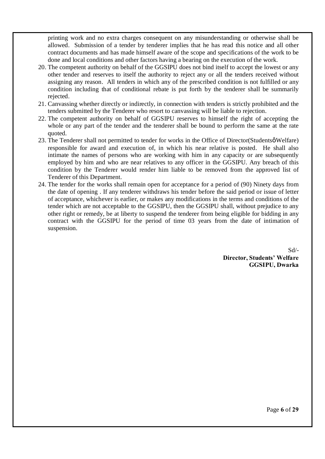printing work and no extra charges consequent on any misunderstanding or otherwise shall be allowed. Submission of a tender by tenderer implies that he has read this notice and all other contract documents and has made himself aware of the scope and specifications of the work to be done and local conditions and other factors having a bearing on the execution of the work.

- 20. The competent authority on behalf of the GGSIPU does not bind itself to accept the lowest or any other tender and reserves to itself the authority to reject any or all the tenders received without assigning any reason. All tenders in which any of the prescribed condition is not fulfilled or any condition including that of conditional rebate is put forth by the tenderer shall be summarily rejected.
- 21. Canvassing whether directly or indirectly, in connection with tenders is strictly prohibited and the tenders submitted by the Tenderer who resort to canvassing will be liable to rejection.
- 22. The competent authority on behalf of GGSIPU reserves to himself the right of accepting the whole or any part of the tender and the tenderer shall be bound to perform the same at the rate quoted.
- 23. The Tenderer shall not permitted to tender for works in the Office of Director(Studentsø Welfare) responsible for award and execution of, in which his near relative is posted. He shall also intimate the names of persons who are working with him in any capacity or are subsequently employed by him and who are near relatives to any officer in the GGSIPU. Any breach of this condition by the Tenderer would render him liable to be removed from the approved list of Tenderer of this Department.
- 24. The tender for the works shall remain open for acceptance for a period of (90) Ninety days from the date of opening . If any tenderer withdraws his tender before the said period or issue of letter of acceptance, whichever is earlier, or makes any modifications in the terms and conditions of the tender which are not acceptable to the GGSIPU, then the GGSIPU shall, without prejudice to any other right or remedy, be at liberty to suspend the tenderer from being eligible for bidding in any contract with the GGSIPU for the period of time 03 years from the date of intimation of suspension.

Sd/- **Director, Students' Welfare GGSIPU, Dwarka**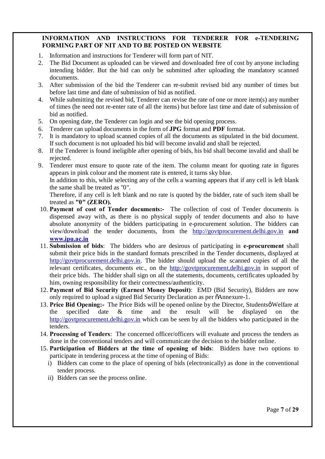## **INFORMATION AND INSTRUCTIONS FOR TENDERER FOR e-TENDERING FORMING PART OF NIT AND TO BE POSTED ON WEBSITE**

- 1. Information and instructions for Tenderer will form part of NIT.
- 2. The Bid Document as uploaded can be viewed and downloaded free of cost by anyone including intending bidder. But the bid can only be submitted after uploading the mandatory scanned documents.
- 3. After submission of the bid the Tenderer can re-submit revised bid any number of times but before last time and date of submission of bid as notified.
- 4. While submitting the revised bid, Tenderer can revise the rate of one or more item(s) any number of times (he need not re-enter rate of all the items) but before last time and date of submission of bid as notified.
- 5. On opening date, the Tenderer can login and see the bid opening process.
- 6. Tenderer can upload documents in the form of **JPG** format and **PDF** format.
- 7. It is mandatory to upload scanned copies of all the documents as stipulated in the bid document. If such document is not uploaded his bid will become invalid and shall be rejected.
- 8. If the Tenderer is found ineligible after opening of bids, his bid shall become invalid and shall be rejected.
- 9. Tenderer must ensure to quote rate of the item. The column meant for quoting rate in figures appears in pink colour and the moment rate is entered, it turns sky blue.

In addition to this, while selecting any of the cells a warning appears that if any cell is left blank the same shall be treated as "0".

Therefore, if any cell is left blank and no rate is quoted by the bidder, rate of such item shall be treated as **"0" (ZERO).**

- 10. **Payment of cost of Tender documents:-** The collection of cost of Tender documents is dispensed away with, as there is no physical supply of tender documents and also to have absolute anonymity of the bidders participating in e-procurement solution. The bidders can view/download the tender documents, from the http://govtprocurement.delhi.gov.in **and www.ipu.ac.in**
- 11. **Submission of bids**: The bidders who are desirous of participating in **e-procurement** shall submit their price bids in the standard formats prescribed in the Tender documents, displayed at http://govtprocurement.delhi.gov.in. The bidder should upload the scanned copies of all the relevant certificates, documents etc., on the http://govtprocurement.delhi.gov.in in support of their price bids. The bidder shall sign on all the statements, documents, certificates uploaded by him, owning responsibility for their correctness/authenticity.
- 12. **Payment of Bid Security (Earnest Money Deposit)**: EMD (Bid Security), Bidders are now only required to upload a signed Bid Security Declaration as per  $\tilde{o}$ Annexure-1.
- 13. Price Bid Opening:- The Price Bids will be opened online by the Director, Studentsø Welfare at the specified date & time and the result will be displayed on the http://govtprocurement.delhi.gov.in which can be seen by all the bidders who participated in the tenders.
- 14. **Processing of Tenders**: The concerned officer/officers will evaluate and process the tenders as done in the conventional tenders and will communicate the decision to the bidder online.
- 15. **Participation of Bidders at the time of opening of bids**: Bidders have two options to participate in tendering process at the time of opening of Bids:
	- i) Bidders can come to the place of opening of bids (electronically) as done in the conventional tender process.
	- ii) Bidders can see the process online.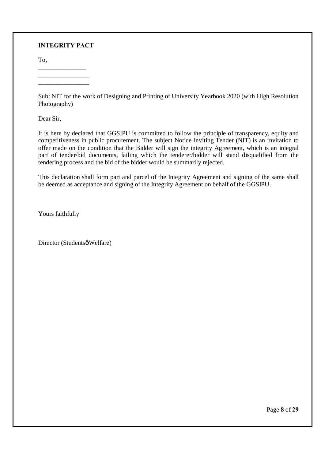#### **INTEGRITY PACT**

To,

\_\_\_\_\_\_\_\_\_\_\_\_\_\_\_ \_\_\_\_\_\_\_\_\_\_\_\_\_\_\_\_ \_\_\_\_\_\_\_\_\_\_\_\_\_\_\_\_

Sub: NIT for the work of Designing and Printing of University Yearbook 2020 (with High Resolution Photography)

Dear Sir,

It is here by declared that GGSIPU is committed to follow the principle of transparency, equity and competitiveness in public procurement. The subject Notice Inviting Tender (NIT) is an invitation to offer made on the condition that the Bidder will sign the integrity Agreement, which is an integral part of tender/bid documents, failing which the tenderer/bidder will stand disqualified from the tendering process and the bid of the bidder would be summarily rejected.

This declaration shall form part and parcel of the Integrity Agreement and signing of the same shall be deemed as acceptance and signing of the Integrity Agreement on behalf of the GGSIPU.

Yours faithfully

Director (Studentsø Welfare)

Page **8** of **29**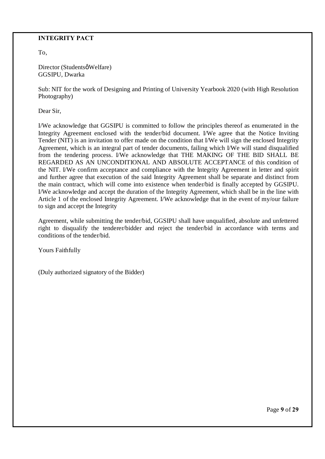## **INTEGRITY PACT**

To,

Director (Studentsø Welfare) GGSIPU, Dwarka

Sub: NIT for the work of Designing and Printing of University Yearbook 2020 (with High Resolution Photography)

Dear Sir,

I/We acknowledge that GGSIPU is committed to follow the principles thereof as enumerated in the Integrity Agreement enclosed with the tender/bid document. I/We agree that the Notice Inviting Tender (NIT) is an invitation to offer made on the condition that I/We will sign the enclosed Integrity Agreement, which is an integral part of tender documents, failing which I/We will stand disqualified from the tendering process. I/We acknowledge that THE MAKING OF THE BID SHALL BE REGARDED AS AN UNCONDITIONAL AND ABSOLUTE ACCEPTANCE of this condition of the NIT. I/We confirm acceptance and compliance with the Integrity Agreement in letter and spirit and further agree that execution of the said Integrity Agreement shall be separate and distinct from the main contract, which will come into existence when tender/bid is finally accepted by GGSIPU. I/We acknowledge and accept the duration of the Integrity Agreement, which shall be in the line with Article 1 of the enclosed Integrity Agreement. I/We acknowledge that in the event of my/our failure to sign and accept the Integrity

Agreement, while submitting the tender/bid, GGSIPU shall have unqualified, absolute and unfettered right to disqualify the tenderer/bidder and reject the tender/bid in accordance with terms and conditions of the tender/bid.

Yours Faithfully

(Duly authorized signatory of the Bidder)

Page **9** of **29**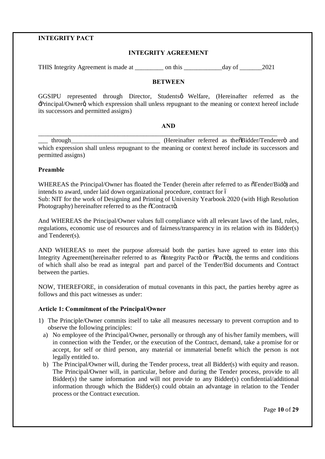### **INTEGRITY PACT**

#### **INTEGRITY AGREEMENT**

THIS Integrity Agreement is made at \_\_\_\_\_\_\_\_\_ on this \_\_\_\_\_\_\_\_\_\_\_\_day of \_\_\_\_\_\_\_2021

#### **BETWEEN**

GGSIPU represented through Director, Studentsø Welfare, (Hereinafter referred as the -Principal/Ownerg which expression shall unless repugnant to the meaning or context hereof include its successors and permitted assigns)

#### **AND**

\_\_\_\_\_\_\_\_\_\_\_\_\_\_\_\_\_\_\_\_\_\_\_\_\_\_\_\_\_\_\_\_\_\_\_\_\_\_\_\_\_\_\_\_\_\_\_\_\_\_\_\_\_\_\_\_\_\_\_\_\_\_\_\_\_\_\_\_\_\_\_\_\_\_\_

\_\_\_ through\_\_\_\_\_\_\_\_\_\_\_\_\_\_\_\_\_\_\_\_\_\_\_\_\_\_\_\_ (Hereinafter referred as the"Bidder/Tenderer" and which expression shall unless repugnant to the meaning or context hereof include its successors and permitted assigns)

#### **Preamble**

WHEREAS the Principal/Owner has floated the Tender (herein after referred to as  $\tilde{\sigma}$ Tender/Bidö) and intends to award, under laid down organizational procedure, contract for  $\acute{o}$ Sub: NIT for the work of Designing and Printing of University Yearbook 2020 (with High Resolution Photography) hereinafter referred to as the  $\tilde{o}$ Contracto.

And WHEREAS the Principal/Owner values full compliance with all relevant laws of the land, rules, regulations, economic use of resources and of fairness/transparency in its relation with its Bidder(s) and Tenderer(s).

AND WHEREAS to meet the purpose aforesaid both the parties have agreed to enter into this Integrity Agreement(hereinafter referred to as  $\ddot{\text{o}}$ Integrity Pacto or  $\ddot{\text{o}}$ Pacto), the terms and conditions of which shall also be read as integral part and parcel of the Tender/Bid documents and Contract between the parties.

NOW, THEREFORE, in consideration of mutual covenants in this pact, the parties hereby agree as follows and this pact witnesses as under:

#### **Article 1: Commitment of the Principal/Owner**

- 1) The Principle/Owner commits itself to take all measures necessary to prevent corruption and to observe the following principles:
	- a) No employee of the Principal/Owner, personally or through any of his/her family members, will in connection with the Tender, or the execution of the Contract, demand, take a promise for or accept, for self or third person, any material or immaterial benefit which the person is not legally entitled to.
	- b) The Principal/Owner will, during the Tender process, treat all Bidder(s) with equity and reason. The Principal/Owner will, in particular, before and during the Tender process, provide to all Bidder(s) the same information and will not provide to any Bidder(s) confidential/additional information through which the Bidder(s) could obtain an advantage in relation to the Tender process or the Contract execution.

Page **10** of **29**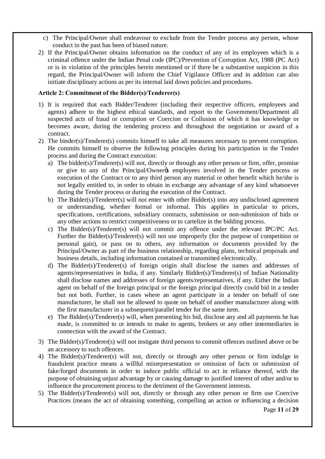- c) The Principal/Owner shall endeavour to exclude from the Tender process any person, whose conduct in the past has been of biased nature.
- 2) If the Principal/Owner obtains information on the conduct of any of its employees which is a criminal offence under the Indian Penal code (IPC)/Prevention of Corruption Act, 1988 (PC Act) or is in violation of the principles herein mentioned or if there be a substantive suspicion in this regard, the Principal/Owner will inform the Chief Vigilance Officer and in addition can also initiate disciplinary actions as per its internal laid down policies and procedures.

#### **Article 2: Commitment of the Bidder(s)/Tenderer(s)**

- 1) It is required that each Bidder/Tenderer (including their respective officers, employees and agents) adhere to the highest ethical standards, and report to the Government/Department all suspected acts of fraud or corruption or Coercion or Collusion of which it has knowledge or becomes aware, during the tendering process and throughout the negotiation or award of a contract.
- 2) The binder(s)/Tenderer(s) commits himself to take all measures necessary to prevent corruption. He commits himself to observe the following principles during his participation in the Tender process and during the Contract execution:
	- a) The bidder(s)/Tenderer(s) will not, directly or through any other person or firm, offer, promise or give to any of the Principal/Owner<sub>®</sub> employees involved in the Tender process or execution of the Contract or to any third person any material or other benefit which he/she is not legally entitled to, in order to obtain in exchange any advantage of any kind whatsoever during the Tender process or during the execution of the Contract.
	- b) The Bidder(s)/Tenderer(s) will not enter with other Bidder(s) into any undisclosed agreement or understanding, whether formal or informal. This applies in particular to prices, specifications, certifications, subsidiary contracts, submission or non-submission of bids or any other actions to restrict competitiveness or to cartelize in the bidding process.
	- c) The Bidder(s)/Tenderer(s) will not commit any offence under the relevant IPC/PC Act. Further the Bidder(s)/Tenderer(s) will not use improperly (for the purpose of competition or personal gain), or pass on to others, any information or documents provided by the Principal/Owner as part of the business relationship, regarding plans, technical proposals and business details, including information contained or transmitted electronically.
	- d) The Bidder(s)/Tenderer(s) of foreign origin shall disclose the names and addresses of agents/representatives in India, if any. Similarly Bidder(s)/Tenderer(s) of Indian Nationality shall disclose names and addresses of foreign agents/representatives, if any. Either the Indian agent on behalf of the foreign principal or the foreign principal directly could bid in a tender but not both. Further, in cases where an agent participate in a tender on behalf of one manufacturer, he shall not be allowed to quote on behalf of another manufacturer along with the first manufacturer in a subsequent/parallel tender for the same item.
	- e) The Bidder(s)/Tenderer(s) will, when presenting his bid, disclose any and all payments he has made, is committed to or intends to make to agents, brokers or any other intermediaries in connection with the award of the Contract.
- 3) The Bidder(s)/Tenderer(s) will not instigate third persons to commit offences outlined above or be an accessory to such offences.
- 4) The Bidder(s)/Tenderer(s) will not, directly or through any other person or firm indulge in fraudulent practice means a willful misrepresentation or omission of facts or submission of fake/forged documents in order to induce public official to act in reliance thereof, with the purpose of obtaining unjust advantage by or causing damage to justified interest of other and/or to influence the procurement process to the detriment of the Government interests.
- 5) The Bidder(s)/Tenderer(s) will not, directly or through any other person or firm use Coercive Practices (means the act of obtaining something, compelling an action or influencing a decision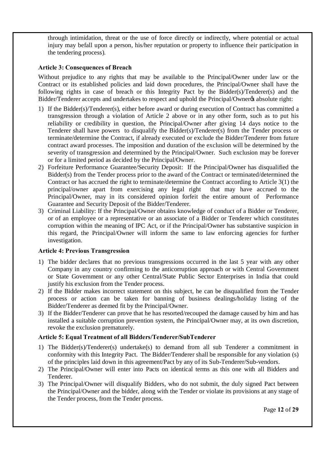through intimidation, threat or the use of force directly or indirectly, where potential or actual injury may befall upon a person, his/her reputation or property to influence their participation in the tendering process).

#### **Article 3: Consequences of Breach**

Without prejudice to any rights that may be available to the Principal/Owner under law or the Contract or its established policies and laid down procedures, the Principal/Owner shall have the following rights in case of breach or this Integrity Pact by the Bidder(s)/Tenderer(s) and the Bidder/Tenderer accepts and undertakes to respect and uphold the Principal/Owner% absolute right:

- 1) If the Bidder(s)/Tenderer(s), either before award or during execution of Contract has committed a transgression through a violation of Article 2 above or in any other form, such as to put his reliability or credibility in question, the Principal/Owner after giving 14 days notice to the Tenderer shall have powers to disqualify the Bidder(s)/Tenderer(s) from the Tender process or terminate/determine the Contract, if already executed or exclude the Bidder/Tenderer from future contract award processes. The imposition and duration of the exclusion will be determined by the severity of transgression and determined by the Principal/Owner. Such exclusion may be forever or for a limited period as decided by the Principal/Owner.
- 2) Forfeiture Performance Guarantee/Security Deposit: If the Principal/Owner has disqualified the Bidder(s) from the Tender process prior to the award of the Contract or terminated/determined the Contract or has accrued the right to terminate/determine the Contract according to Article 3(1) the principal/owner apart from exercising any legal right that may have accrued to the Principal/Owner, may in its considered opinion forfeit the entire amount of Performance Guarantee and Security Deposit of the Bidder/Tenderer.
- 3) Criminal Liability: If the Principal/Owner obtains knowledge of conduct of a Bidder or Tenderer, or of an employee or a representative or an associate of a Bidder or Tenderer which constitutes corruption within the meaning of IPC Act, or if the Principal/Owner has substantive suspicion in this regard, the Principal/Owner will inform the same to law enforcing agencies for further investigation.

#### **Article 4: Previous Transgression**

- 1) The bidder declares that no previous transgressions occurred in the last 5 year with any other Company in any country confirming to the anticorruption approach or with Central Government or State Government or any other Central/State Public Sector Enterprises in India that could justify his exclusion from the Tender process.
- 2) If the Bidder makes incorrect statement on this subject, he can be disqualified from the Tender process or action can be taken for banning of business dealings/holiday listing of the Bidder/Tenderer as deemed fit by the Principal/Owner.
- 3) If the Bidder/Tenderer can prove that he has resorted/recouped the damage caused by him and has installed a suitable corruption prevention system, the Principal/Owner may, at its own discretion, revoke the exclusion prematurely.

## **Article 5: Equal Treatment of all Bidders/Tenderer/SubTenderer**

- 1) The Bidder(s)/Tenderer(s) undertake(s) to demand from all sub Tenderer a commitment in conformity with this Integrity Pact. The Bidder/Tenderer shall be responsible for any violation (s) of the principles laid down in this agreement/Pact by any of its Sub-Tenderer/Sub-vendors.
- 2) The Principal/Owner will enter into Pacts on identical terms as this one with all Bidders and Tenderer.
- 3) The Principal/Owner will disqualify Bidders, who do not submit, the duly signed Pact between the Principal/Owner and the bidder, along with the Tender or violate its provisions at any stage of the Tender process, from the Tender process.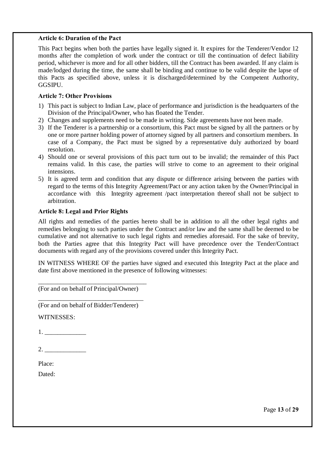#### **Article 6: Duration of the Pact**

This Pact begins when both the parties have legally signed it. It expires for the Tenderer/Vendor 12 months after the completion of work under the contract or till the continuation of defect liability period, whichever is more and for all other bidders, till the Contract has been awarded. If any claim is made/lodged during the time, the same shall be binding and continue to be valid despite the lapse of this Pacts as specified above, unless it is discharged/determined by the Competent Authority, GGSIPU.

#### **Article 7: Other Provisions**

- 1) This pact is subject to Indian Law, place of performance and jurisdiction is the headquarters of the Division of the Principal/Owner, who has floated the Tender.
- 2) Changes and supplements need to be made in writing. Side agreements have not been made.
- 3) If the Tenderer is a partnership or a consortium, this Pact must be signed by all the partners or by one or more partner holding power of attorney signed by all partners and consortium members. In case of a Company, the Pact must be signed by a representative duly authorized by board resolution.
- 4) Should one or several provisions of this pact turn out to be invalid; the remainder of this Pact remains valid. In this case, the parties will strive to come to an agreement to their original intensions.
- 5) It is agreed term and condition that any dispute or difference arising between the parties with regard to the terms of this Integrity Agreement/Pact or any action taken by the Owner/Principal in accordance with this Integrity agreement /pact interpretation thereof shall not be subject to arbitration.

#### **Article 8: Legal and Prior Rights**

All rights and remedies of the parties hereto shall be in addition to all the other legal rights and remedies belonging to such parties under the Contract and/or law and the same shall be deemed to be cumulative and not alternative to such legal rights and remedies aforesaid. For the sake of brevity, both the Parties agree that this Integrity Pact will have precedence over the Tender/Contract documents with regard any of the provisions covered under this Integrity Pact.

IN WITNESS WHERE OF the parties have signed and executed this Integrity Pact at the place and date first above mentioned in the presence of following witnesses:

\_\_\_\_\_\_\_\_\_\_\_\_\_\_\_\_\_\_\_\_\_\_\_\_\_\_\_\_\_\_\_\_\_\_ (For and on behalf of Principal/Owner)

\_\_\_\_\_\_\_\_\_\_\_\_\_\_\_\_\_\_\_\_\_\_\_\_\_\_\_\_\_\_\_\_\_ (For and on behalf of Bidder/Tenderer)

WITNESSES:

 $1.$   $1.$ 

2. \_\_\_\_\_\_\_\_\_\_\_\_\_

Place:

Dated:

Page **13** of **29**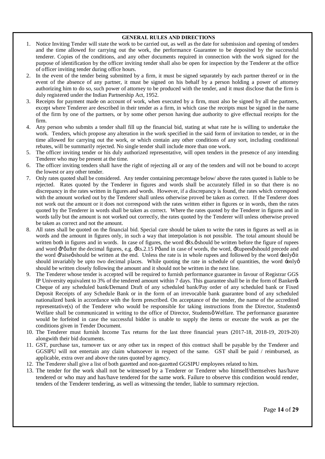#### **GENERAL RULES AND DIRECTIONS**

- 1. Notice Inviting Tender will state the work to be carried out, as well as the date for submission and opening of tenders and the time allowed for carrying out the work, the performance Guarantee to be deposited by the successful tenderer. Copies of the conditions, and any other documents required in connection with the work signed for the purpose of identification by the officer inviting tender shall also be open for inspection by the Tenderer at the office of officer inviting tender during office hours.
- 2. In the event of the tender being submitted by a firm, it must be signed separately by each partner thereof or in the event of the absence of any partner, it must be signed on his behalf by a person holding a power of attorney authorizing him to do so, such power of attorney to be produced with the tender, and it must disclose that the firm is duly registered under the Indian Partnership Act, 1952.
- 3. Receipts for payment made on account of work, when executed by a firm, must also be signed by all the partners, except where Tenderer are described in their tender as a firm, in which case the receipts must be signed in the name of the firm by one of the partners, or by some other person having due authority to give effectual receipts for the firm.
- 4. Any person who submits a tender shall fill up the financial bid, stating at what rate he is willing to undertake the work. Tenders, which propose any alteration in the work specified in the said form of invitation to tender, or in the time allowed for carrying out the work, or which contain any other conditions of any sort, including conditional rebates, will be summarily rejected. No single tender shall include more than one work.
- 5. The officer inviting tender or his duly authorized representative, will open tenders in the presence of any intending Tenderer who may be present at the time.
- 6. The officer inviting tenders shall have the right of rejecting all or any of the tenders and will not be bound to accept the lowest or any other tender.
- 7. Only rates quoted shall be considered. Any tender containing percentage below/ above the rates quoted is liable to be rejected. Rates quoted by the Tenderer in figures and words shall be accurately filled in so that there is no discrepancy in the rates written in figures and words. However, if a discrepancy is found, the rates which correspond with the amount worked out by the Tenderer shall unless otherwise proved be taken as correct. If the Tenderer does not work out the amount or it does not correspond with the rates written either in figures or in words, then the rates quoted by the Tenderer in words shall be taken as correct. Where the rates quoted by the Tenderer in figures and in words tally but the amount is not worked out correctly, the rates quoted by the Tenderer will unless otherwise proved be taken as correct and not the amount.
- 8. All rates shall be quoted on the financial bid. Special care should be taken to write the rates in figures as well as in words and the amount in figures only, in such a way that interpolation is not possible. The total amount should be written both in figures and in words. In case of figures, the word  $\pm$ Rs. $\phi$  should be written before the figure of rupees and word  $\overline{P}$  pafter the decimal figures, e.g.  $\overline{R}$ s.2.15 Pø and in case of words, the word,  $\overline{R}$ upeesø should precede and the word  $\text{-}\text{Paiseg}$  should be written at the end. Unless the rate is in whole rupees and followed by the word  $\text{-}\text{only}$  oit should invariably be upto two decimal places. While quoting the rate in schedule of quantities, the word  $\div \text{only} \phi$ should be written closely following the amount and it should not be written in the next line.
- 9. The Tenderer whose tender is accepted will be required to furnish performance guarantee in favour of Registrar GGS IP University equivalent to 3% of the tendered amount within 7 days. This guarantee shall be in the form of Banker& Cheque of any scheduled bank/Demand Draft of any scheduled bank/Pay order of any scheduled bank or Fixed Deposit Receipts of any Schedule Bank or in the form of an irrevocable bank guarantee bond of any scheduled nationalized bank in accordance with the form prescribed. On acceptance of the tender, the name of the accredited representative(s) of the Tenderer who would be responsible for taking instructions from the Director, Studentsø Welfare shall be communicated in writing to the office of Director, Studentsø Welfare. The performance guarantee would be forfeited in case the successful bidder is unable to supply the items or execute the work as per the conditions given in Tender Document.
- 10. The Tenderer must furnish Income Tax returns for the last three financial years (2017-18, 2018-19, 2019-20) alongwith their bid documents.
- 11. GST, purchase tax, turnover tax or any other tax in respect of this contract shall be payable by the Tenderer and GGSIPU will not entertain any claim whatsoever in respect of the same. GST shall be paid / reimbursed, as applicable, extra over and above the rates quoted by agency.
- 12. The Tenderer shall give a list of both gazetted and non-gazetted GGSIPU employees related to him.
- 13. The tender for the work shall not be witnessed by a Tenderer or Tenderer who himself/themselves has/have tendered or who may and has/have tendered for the same work. Failure to observe this condition would render, tenders of the Tenderer tendering, as well as witnessing the tender, liable to summary rejection.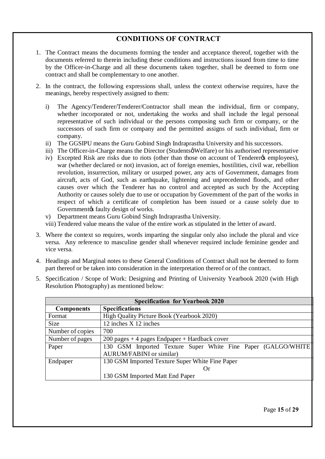# **CONDITIONS OF CONTRACT**

- 1. The Contract means the documents forming the tender and acceptance thereof, together with the documents referred to therein including these conditions and instructions issued from time to time by the Officer-in-Charge and all these documents taken together, shall be deemed to form one contract and shall be complementary to one another.
- 2. In the contract, the following expressions shall, unless the context otherwise requires, have the meanings, hereby respectively assigned to them:
	- i) The Agency/Tenderer/Tenderer/Contractor shall mean the individual, firm or company, whether incorporated or not, undertaking the works and shall include the legal personal representative of such individual or the persons composing such firm or company, or the successors of such firm or company and the permitted assigns of such individual, firm or company.
	- ii) The GGSIPU means the Guru Gobind Singh Indraprastha University and his successors.
	- iii) The Officer-in-Charge means the Director (Studentsø Welfare) or his authorised representative
	- iv) Excepted Risk are risks due to riots (other than those on account of Tenderer & employees), war (whether declared or not) invasion, act of foreign enemies, hostilities, civil war, rebellion revolution, insurrection, military or usurped power, any acts of Government, damages from aircraft, acts of God, such as earthquake, lightening and unprecedented floods, and other causes over which the Tenderer has no control and accepted as such by the Accepting Authority or causes solely due to use or occupation by Government of the part of the works in respect of which a certificate of completion has been issued or a cause solely due to Government ts faulty design of works.
	- v) Department means Guru Gobind Singh Indraprastha University.

viii) Tendered value means the value of the entire work as stipulated in the letter of award.

- 3. Where the context so requires, words imparting the singular only also include the plural and vice versa. Any reference to masculine gender shall whenever required include feminine gender and vice versa.
- 4. Headings and Marginal notes to these General Conditions of Contract shall not be deemed to form part thereof or be taken into consideration in the interpretation thereof or of the contract.
- 5. Specification / Scope of Work: Designing and Printing of University Yearbook 2020 (with High Resolution Photography) as mentioned below:

| <b>Specification for Yearbook 2020</b> |                                                               |  |  |  |  |
|----------------------------------------|---------------------------------------------------------------|--|--|--|--|
| <b>Components</b>                      | <b>Specifications</b>                                         |  |  |  |  |
| Format                                 | High Quality Picture Book (Yearbook 2020)                     |  |  |  |  |
| <b>Size</b>                            | 12 inches X 12 inches                                         |  |  |  |  |
| Number of copies                       | 700                                                           |  |  |  |  |
| Number of pages                        | $200$ pages + 4 pages Endpaper + Hardback cover               |  |  |  |  |
| Paper                                  | 130 GSM Imported Texture Super White Fine Paper (GALGO/WHITE) |  |  |  |  |
|                                        | <b>AURUM/FABINI</b> or similar)                               |  |  |  |  |
| Endpaper                               | 130 GSM Imported Texture Super White Fine Paper               |  |  |  |  |
|                                        | Or                                                            |  |  |  |  |
|                                        | 130 GSM Imported Matt End Paper                               |  |  |  |  |

Page **15** of **29**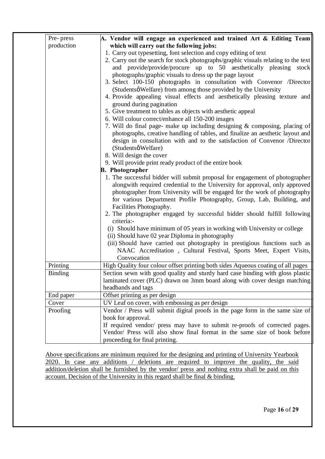| Pre-press      | A. Vendor will engage an experienced and trained Art & Editing Team                                                                                                                                                                                                                                                                                                                                                                                                                                                                                                                                                                                                                                                                                                                                                                                                                                                                                                |
|----------------|--------------------------------------------------------------------------------------------------------------------------------------------------------------------------------------------------------------------------------------------------------------------------------------------------------------------------------------------------------------------------------------------------------------------------------------------------------------------------------------------------------------------------------------------------------------------------------------------------------------------------------------------------------------------------------------------------------------------------------------------------------------------------------------------------------------------------------------------------------------------------------------------------------------------------------------------------------------------|
| production     | which will carry out the following jobs:                                                                                                                                                                                                                                                                                                                                                                                                                                                                                                                                                                                                                                                                                                                                                                                                                                                                                                                           |
|                | 1. Carry out typesetting, font selection and copy editing of text<br>2. Carry out the search for stock photographs/graphic visuals relating to the text<br>and provide/provide/procure up to 50 aesthetically pleasing stock<br>photographs/graphic visuals to dress up the page layout<br>3. Select 100-150 photographs in consultation with Convenor /Director<br>(Studentsø Welfare) from among those provided by the University<br>4. Provide appealing visual effects and aesthetically pleasing texture and<br>ground during pagination<br>5. Give treatment to tables as objects with aesthetic appeal<br>6. Will colour correct/enhance all 150-200 images<br>7. Will do final page- make up including designing & composing, placing of<br>photographs, creative handling of tables, and finalize an aesthetic layout and<br>design in consultation with and to the satisfaction of Convenor /Director<br>(Studentsø Welfare)<br>8. Will design the cover |
|                | 9. Will provide print ready product of the entire book                                                                                                                                                                                                                                                                                                                                                                                                                                                                                                                                                                                                                                                                                                                                                                                                                                                                                                             |
|                | <b>B.</b> Photographer                                                                                                                                                                                                                                                                                                                                                                                                                                                                                                                                                                                                                                                                                                                                                                                                                                                                                                                                             |
|                | 1. The successful bidder will submit proposal for engagement of photographer<br>alongwith required credential to the University for approval, only approved<br>photographer from University will be engaged for the work of photography<br>for various Department Profile Photography, Group, Lab, Building, and<br>Facilities Photography.<br>2. The photographer engaged by successful bidder should fulfill following<br>criteria:-                                                                                                                                                                                                                                                                                                                                                                                                                                                                                                                             |
|                | (i) Should have minimum of 05 years in working with University or college<br>(ii) Should have 02 year Diploma in photography<br>(iii) Should have carried out photography in prestigious functions such as<br>NAAC Accreditation, Cultural Festival, Sports Meet, Expert Visits,<br>Convocation                                                                                                                                                                                                                                                                                                                                                                                                                                                                                                                                                                                                                                                                    |
| Printing       | High Quality four colour offset printing both sides Aqueous coating of all pages                                                                                                                                                                                                                                                                                                                                                                                                                                                                                                                                                                                                                                                                                                                                                                                                                                                                                   |
| <b>Binding</b> | Section sewn with good quality and sturdy hard case binding with gloss plastic<br>laminated cover (PLC) drawn on 3mm board along with cover design matching<br>headbands and tags                                                                                                                                                                                                                                                                                                                                                                                                                                                                                                                                                                                                                                                                                                                                                                                  |
| End paper      | Offset printing as per design                                                                                                                                                                                                                                                                                                                                                                                                                                                                                                                                                                                                                                                                                                                                                                                                                                                                                                                                      |
| Cover          | UV Leaf on cover, with embossing as per design                                                                                                                                                                                                                                                                                                                                                                                                                                                                                                                                                                                                                                                                                                                                                                                                                                                                                                                     |
| Proofing       | Vendor / Press will submit digital proofs in the page form in the same size of<br>book for approval.<br>If required vendor/ press may have to submit re-proofs of corrected pages.<br>Vendor/ Press will also show final format in the same size of book before<br>proceeding for final printing.                                                                                                                                                                                                                                                                                                                                                                                                                                                                                                                                                                                                                                                                  |

Above specifications are minimum required for the designing and printing of University Yearbook 2020. In case any additions / deletions are required to improve the quality, the said addition/deletion shall be furnished by the vendor/ press and nothing extra shall be paid on this account. Decision of the University in this regard shall be final & binding.

Page **16** of **29**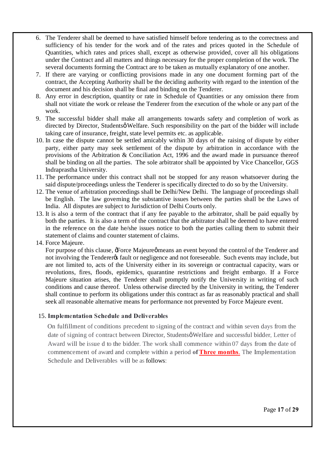- 6. The Tenderer shall be deemed to have satisfied himself before tendering as to the correctness and sufficiency of his tender for the work and of the rates and prices quoted in the Schedule of Quantities, which rates and prices shall, except as otherwise provided, cover all his obligations under the Contract and all matters and things necessary for the proper completion of the work. The several documents forming the Contract are to be taken as mutually explanatory of one another.
- 7. If there are varying or conflicting provisions made in any one document forming part of the contract, the Accepting Authority shall be the deciding authority with regard to the intention of the document and his decision shall be final and binding on the Tenderer.
- 8. Any error in description, quantity or rate in Schedule of Quantities or any omission there from shall not vitiate the work or release the Tenderer from the execution of the whole or any part of the work.
- 9. The successful bidder shall make all arrangements towards safety and completion of work as directed by Director, Studentsø Welfare. Such responsibility on the part of the bidder will include taking care of insurance, freight, state level permits etc. as applicable.
- 10. In case the dispute cannot be settled amicably within 30 days of the raising of dispute by either party, either party may seek settlement of the dispute by arbitration in accordance with the provisions of the Arbitration & Conciliation Act, 1996 and the award made in pursuance thereof shall be binding on all the parties. The sole arbitrator shall be appointed by Vice Chancellor, GGS Indraprastha University.
- 11. The performance under this contract shall not be stopped for any reason whatsoever during the said dispute/proceedings unless the Tenderer is specifically directed to do so by the University.
- 12. The venue of arbitration proceedings shall be Delhi/New Delhi. The language of proceedings shall be English. The law governing the substantive issues between the parties shall be the Laws of India. All disputes are subject to Jurisdiction of Delhi Courts only.
- 13. It is also a term of the contract that if any fee payable to the arbitrator, shall be paid equally by both the parties. It is also a term of the contract that the arbitrator shall be deemed to have entered in the reference on the date he/she issues notice to both the parties calling them to submit their statement of claims and counter statement of claims.
- 14. Force Majeure.

For purpose of this clause, & Force Majeure  $\phi$  means an event beyond the control of the Tenderer and not involving the Tenderer ts fault or negligence and not foreseeable. Such events may include, but are not limited to, acts of the University either in its sovereign or contractual capacity, wars or revolutions, fires, floods, epidemics, quarantine restrictions and freight embargo. If a Force Majeure situation arises, the Tenderer shall promptly notify the University in writing of such conditions and cause thereof. Unless otherwise directed by the University in writing, the Tenderer shall continue to perform its obligations under this contract as far as reasonably practical and shall seek all reasonable alternative means for performance not prevented by Force Majeure event.

#### 15. **Implementation Schedule and Deliverables**

On fulfillment of conditions precedent to signing of the contract and within seven days from the date of signing of contract between Director, Studentsø Welfare and successful bidder, Letter of Award will be issue d to the bidder. The work shall commence within 07 days from the date of commencement of award and complete within a period **of Three months**. The Implementation Schedule and Deliverables will be as follows:

Page **17** of **29**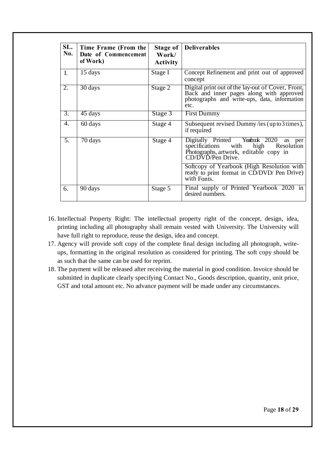| SL.<br>No.       | Time Frame (From the<br>Date of Commencement<br>of Work) | Stage of<br>Work/<br><b>Activity</b> | <b>Deliverables</b>                                                                                                                                      |
|------------------|----------------------------------------------------------|--------------------------------------|----------------------------------------------------------------------------------------------------------------------------------------------------------|
| $\mathbf{I}$ .   | 15 days                                                  | Stage I                              | Concept Refinement and print out of approved<br>concept                                                                                                  |
| 2.               | $30 \text{ days}$                                        | Stage 2                              | Digital print out of the lay-out of Cover, Front,<br>Back and inner pages along with approved<br>photographs and write-ups, data, information<br>etc.    |
| $\overline{3}$ . | 45 days                                                  | Stage 3                              | <b>First Dummy</b>                                                                                                                                       |
| 4.               | 60 days                                                  | Stage 4                              | Subsequent revised Dummy/ies (up to 3 times),<br>if required                                                                                             |
| 5.               | 70 days                                                  | Stage 4                              | Digitally Printed Yearbook 2020<br>as<br>per<br>specifications<br>high<br>with<br>Resolution<br>Photographs, artwork, editable copy in CD/DVD/Pen Drive. |
|                  |                                                          |                                      | Softcopy of Yearbook (High Resolution with<br>ready to print format in CD/DVD/ Pen Drive)<br>with Fonts.                                                 |
| 6.               | 90 days                                                  | Stage 5                              | Final supply of Printed Yearbook 2020 in<br>desired numbers.                                                                                             |

- 16. Intellectual Property Right: The intellectual property right of the concept, design, idea, printing including all photography shall remain vested with University. The University will have full right to reproduce, reuse the design, idea and concept.
- 17. Agency will provide soft copy of the complete final design including all photograph, writeups, formatting in the original resolution as considered for printing. The soft copy should be as such that the same can be used for reprint.
- 18. The payment will be released after receiving the material in good condition. Invoice should be submitted in duplicate clearly specifying Contact No., Goods description, quantity, unit price, GST and total amount etc. No advance payment will be made under any circumstances.

Page **18** of **29**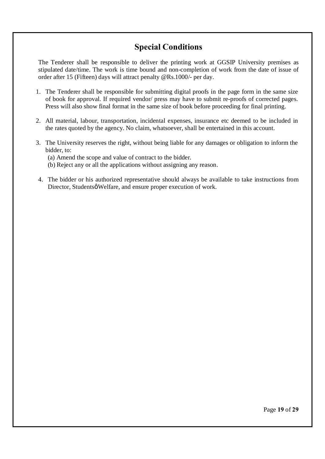# **Special Conditions**

The Tenderer shall be responsible to deliver the printing work at GGSIP University premises as stipulated date/time. The work is time bound and non-completion of work from the date of issue of order after 15 (Fifteen) days will attract penalty @Rs.1000/- per day.

- 1. The Tenderer shall be responsible for submitting digital proofs in the page form in the same size of book for approval. If required vendor/ press may have to submit re-proofs of corrected pages. Press will also show final format in the same size of book before proceeding for final printing.
- 2. All material, labour, transportation, incidental expenses, insurance etc deemed to be included in the rates quoted by the agency. No claim, whatsoever, shall be entertained in this account.
- 3. The University reserves the right, without being liable for any damages or obligation to inform the bidder, to:

(a) Amend the scope and value of contract to the bidder.

- (b) Reject any or all the applications without assigning any reason.
- 4. The bidder or his authorized representative should always be available to take instructions from Director, Studentsø Welfare, and ensure proper execution of work.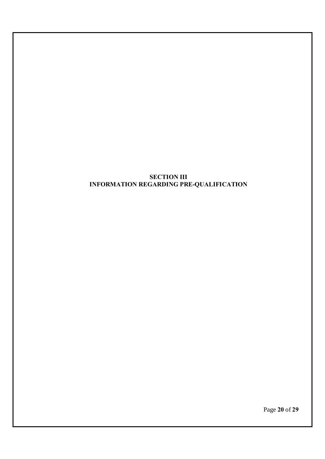#### **SECTION III INFORMATION REGARDING PRE-QUALIFICATION**

Page **20** of **29**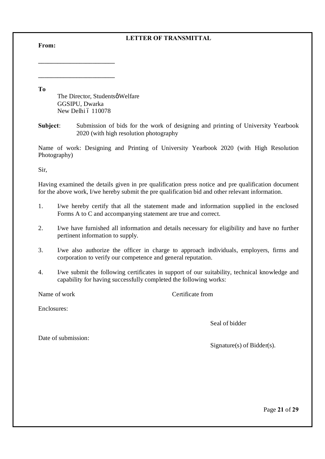# **LETTER OF TRANSMITTAL**

**From:**

**To**

The Director, Studentsø Welfare GGSIPU, Dwarka New Delhi ó 110078

**\_\_\_\_\_\_\_\_\_\_\_\_\_\_\_\_\_\_\_\_\_\_\_\_**

**\_\_\_\_\_\_\_\_\_\_\_\_\_\_\_\_\_\_\_\_\_\_\_\_**

**Subject**: Submission of bids for the work of designing and printing of University Yearbook 2020 (with high resolution photography

Name of work: Designing and Printing of University Yearbook 2020 (with High Resolution Photography)

Sir,

Having examined the details given in pre qualification press notice and pre qualification document for the above work, I/we hereby submit the pre qualification bid and other relevant information.

- 1. I/we hereby certify that all the statement made and information supplied in the enclosed Forms A to C and accompanying statement are true and correct.
- 2. I/we have furnished all information and details necessary for eligibility and have no further pertinent information to supply.
- 3. I/we also authorize the officer in charge to approach individuals, employers, firms and corporation to verify our competence and general reputation.
- 4. I/we submit the following certificates in support of our suitability, technical knowledge and capability for having successfully completed the following works:

Name of work Certificate from Name of work Certificate from  $\alpha$ 

Enclosures:

Seal of bidder

Date of submission:

Signature(s) of Bidder(s).

Page **21** of **29**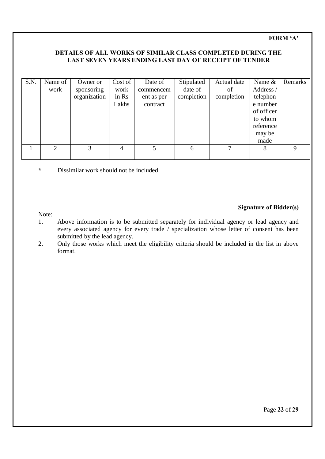# **FORM 'A'**

#### **DETAILS OF ALL WORKS OF SIMILAR CLASS COMPLETED DURING THE LAST SEVEN YEARS ENDING LAST DAY OF RECEIPT OF TENDER**

| S.N. | Name of                     | Owner or     | Cost of | Date of    | Stipulated | Actual date | Name &     | Remarks |
|------|-----------------------------|--------------|---------|------------|------------|-------------|------------|---------|
|      | work                        | sponsoring   | work    | commencem  | date of    | of          | Address /  |         |
|      |                             | organization | in Rs   | ent as per | completion | completion  | telephon   |         |
|      |                             |              | Lakhs   | contract   |            |             | e number   |         |
|      |                             |              |         |            |            |             | of officer |         |
|      |                             |              |         |            |            |             | to whom    |         |
|      |                             |              |         |            |            |             | reference  |         |
|      |                             |              |         |            |            |             | may be     |         |
|      |                             |              |         |            |            |             | made       |         |
|      | $\mathcal{D}_{\mathcal{L}}$ | 3            | 4       | 5          | 6          |             | 8          | Q       |
|      |                             |              |         |            |            |             |            |         |

**\*** Dissimilar work should not be included

#### Note:

#### **Signature of Bidder(s)**

- 1. Above information is to be submitted separately for individual agency or lead agency and every associated agency for every trade / specialization whose letter of consent has been submitted by the lead agency.
- 2. Only those works which meet the eligibility criteria should be included in the list in above format.

Page **22** of **29**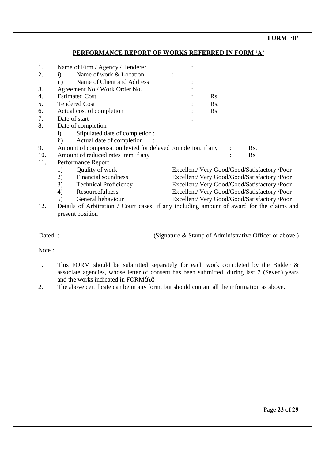#### **FORM 'B'**

#### **PERFORMANCE REPORT OF WORKS REFERRED IN FORM 'A'**

| 1.  | Name of Firm / Agency / Tenderer                                                          |          |                                            |
|-----|-------------------------------------------------------------------------------------------|----------|--------------------------------------------|
| 2.  | Name of work & Location<br>$\mathbf{i}$                                                   |          |                                            |
|     | ii)<br>Name of Client and Address                                                         |          |                                            |
| 3.  | Agreement No./ Work Order No.                                                             |          |                                            |
| 4.  | <b>Estimated Cost</b>                                                                     | Rs.      |                                            |
| 5.  | <b>Tendered Cost</b>                                                                      | Rs.      |                                            |
| 6.  | Actual cost of completion                                                                 | $\rm Rs$ |                                            |
| 7.  | Date of start                                                                             |          |                                            |
| 8.  | Date of completion                                                                        |          |                                            |
|     | Stipulated date of completion:<br>$\mathbf{i}$                                            |          |                                            |
|     | $\mathbf{ii}$<br>Actual date of completion                                                |          |                                            |
| 9.  | Amount of compensation levied for delayed completion, if any                              |          | Rs.                                        |
| 10. | Amount of reduced rates item if any                                                       |          | <b>Rs</b>                                  |
| 11. | Performance Report                                                                        |          |                                            |
|     | Quality of work<br>1)                                                                     |          | Excellent/Very Good/Good/Satisfactory/Poor |
|     | Financial soundness<br>2)                                                                 |          | Excellent/Very Good/Good/Satisfactory/Poor |
|     | 3)<br><b>Technical Proficiency</b>                                                        |          | Excellent/Very Good/Good/Satisfactory/Poor |
|     | 4)<br>Resourcefulness                                                                     |          | Excellent/Very Good/Good/Satisfactory/Poor |
|     | 5)<br>General behaviour                                                                   |          | Excellent/Very Good/Good/Satisfactory/Poor |
| 12. | Details of Arbitration / Court cases, if any including amount of award for the claims and |          |                                            |
|     | present position                                                                          |          |                                            |

Dated : (Signature & Stamp of Administrative Officer or above)

Note :

- 1. This FORM should be submitted separately for each work completed by the Bidder & associate agencies, whose letter of consent has been submitted, during last 7 (Seven) years and the works indicated in FORMøAø.
- 2. The above certificate can be in any form, but should contain all the information as above.

Page **23** of **29**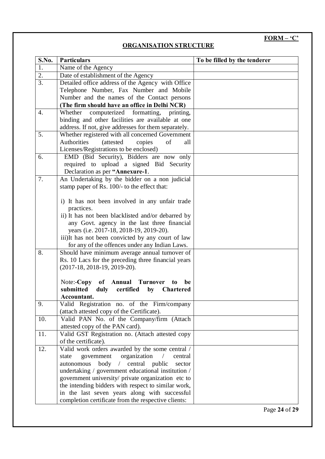# **FORM – 'C'**

# **ORGANISATION STRUCTURE**

| S.No. | <b>Particulars</b>                                                                                    | To be filled by the tenderer |
|-------|-------------------------------------------------------------------------------------------------------|------------------------------|
| 1.    | Name of the Agency                                                                                    |                              |
| 2.    | Date of establishment of the Agency                                                                   |                              |
| 3.    | Detailed office address of the Agency with Office                                                     |                              |
|       | Telephone Number, Fax Number and Mobile                                                               |                              |
|       | Number and the names of the Contact persons                                                           |                              |
|       | (The firm should have an office in Delhi NCR)                                                         |                              |
| 4.    | computerized formatting, printing,<br>Whether                                                         |                              |
|       | binding and other facilities are available at one                                                     |                              |
|       | address. If not, give addresses for them separately.                                                  |                              |
| 5.    | Whether registered with all concerned Government                                                      |                              |
|       | Authorities<br><i>(attested)</i><br>copies<br>of<br>all                                               |                              |
|       | Licenses/Registrations to be enclosed)                                                                |                              |
| 6.    | EMD (Bid Security), Bidders are now only                                                              |                              |
|       | required to upload a signed Bid Security                                                              |                              |
|       | Declaration as per "Annexure-1.                                                                       |                              |
| 7.    | An Undertaking by the bidder on a non judicial                                                        |                              |
|       | stamp paper of Rs. 100/- to the effect that:                                                          |                              |
|       |                                                                                                       |                              |
|       | i) It has not been involved in any unfair trade                                                       |                              |
|       | practices.                                                                                            |                              |
|       | ii) It has not been blacklisted and/or debarred by                                                    |                              |
|       | any Govt. agency in the last three financial                                                          |                              |
|       | years (i.e. 2017-18, 2018-19, 2019-20).                                                               |                              |
|       | iii)It has not been convicted by any court of law                                                     |                              |
| 8.    | for any of the offences under any Indian Laws.                                                        |                              |
|       | Should have minimum average annual turnover of<br>Rs. 10 Lacs for the preceding three financial years |                              |
|       | $(2017-18, 2018-19, 2019-20).$                                                                        |                              |
|       |                                                                                                       |                              |
|       | Note:- $Copy$ of<br><b>Annual Turnover</b><br>be<br>to                                                |                              |
|       | submitted<br>duly<br>certified<br>by<br><b>Chartered</b>                                              |                              |
|       | Accountant.                                                                                           |                              |
| 9.    | Valid Registration no. of the Firm/company                                                            |                              |
|       | (attach attested copy of the Certificate).                                                            |                              |
| 10.   | Valid PAN No. of the Company/firm (Attach                                                             |                              |
|       | attested copy of the PAN card).                                                                       |                              |
| 11.   | Valid GST Registration no. (Attach attested copy                                                      |                              |
|       | of the certificate).                                                                                  |                              |
| 12.   | Valid work orders awarded by the some central /                                                       |                              |
|       | organization<br>government<br>state<br>central                                                        |                              |
|       | central public<br>autonomous<br>body<br>$\sqrt{2}$<br>sector                                          |                              |
|       | undertaking / government educational institution /                                                    |                              |
|       | government university/ private organization etc to                                                    |                              |
|       | the intending bidders with respect to similar work,                                                   |                              |
|       | in the last seven years along with successful                                                         |                              |
|       | completion certificate from the respective clients:                                                   |                              |

Page **24** of **29**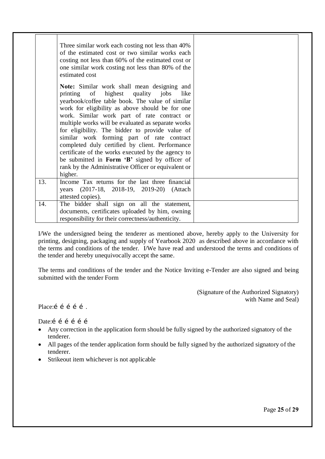|     | Three similar work each costing not less than 40%<br>of the estimated cost or two similar works each<br>costing not less than 60% of the estimated cost or<br>one similar work costing not less than 80% of the<br>estimated cost                                                                                                                                                                                                                                                                                                                                                                                     |  |
|-----|-----------------------------------------------------------------------------------------------------------------------------------------------------------------------------------------------------------------------------------------------------------------------------------------------------------------------------------------------------------------------------------------------------------------------------------------------------------------------------------------------------------------------------------------------------------------------------------------------------------------------|--|
|     | Note: Similar work shall mean designing and<br>printing of highest quality jobs<br>like<br>yearbook/coffee table book. The value of similar<br>work for eligibility as above should be for one<br>work. Similar work part of rate contract or<br>multiple works will be evaluated as separate works<br>for eligibility. The bidder to provide value of<br>similar work forming part of rate contract<br>completed duly certified by client. Performance<br>certificate of the works executed by the agency to<br>be submitted in Form 'B' signed by officer of<br>rank by the Administrative Officer or equivalent or |  |
|     | higher.                                                                                                                                                                                                                                                                                                                                                                                                                                                                                                                                                                                                               |  |
| 13. | Income Tax returns for the last three financial<br>years (2017-18, 2018-19, 2019-20) (Attach<br>attested copies).                                                                                                                                                                                                                                                                                                                                                                                                                                                                                                     |  |
| 14. | The bidder shall sign on all the statement,<br>documents, certificates uploaded by him, owning<br>responsibility for their correctness/authenticity.                                                                                                                                                                                                                                                                                                                                                                                                                                                                  |  |

I/We the undersigned being the tenderer as mentioned above, hereby apply to the University for printing, designing, packaging and supply of Yearbook 2020 as described above in accordance with the terms and conditions of the tender. I/We have read and understood the terms and conditions of the tender and hereby unequivocally accept the same.

The terms and conditions of the tender and the Notice Inviting e-Tender are also signed and being submitted with the tender Form

> (Signature of the Authorized Signatory) with Name and Seal)

Place:í í í í í .

Date:<br>  $\acute{i}$  i i i i

- Any correction in the application form should be fully signed by the authorized signatory of the tenderer.
- All pages of the tender application form should be fully signed by the authorized signatory of the tenderer.
- Strikeout item whichever is not applicable

Page **25** of **29**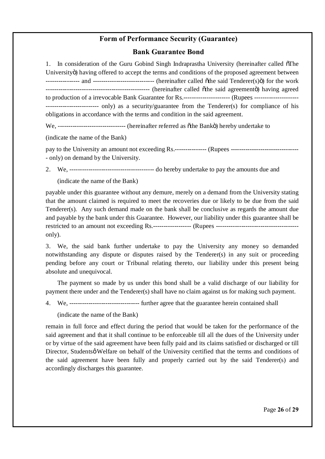# **Form of Performance Security (Guarantee)**

#### **Bank Guarantee Bond**

1. In consideration of the Guru Gobind Singh Indraprastha University (hereinafter called  $\delta$ The Universityö) having offered to accept the terms and conditions of the proposed agreement between ---------------- and ----------------------------- (hereinafter called "the said Tenderer(s)") for the work ------------------------------------------------- (hereinafter called "the said agreement") having agreed to production of a irrevocable Bank Guarantee for Rs.---------------------- (Rupees --------------------- ------------------------- only) as a security/guarantee from the Tenderer(s) for compliance of his obligations in accordance with the terms and condition in the said agreement.

We, -------------------------------- (hereinafter referred as "the Bank") hereby undertake to

(indicate the name of the Bank)

pay to the University an amount not exceeding Rs.--------------- (Rupees ---------------- only) on demand by the University.

2. We, ---------------------------------------- do hereby undertake to pay the amounts due and

(indicate the name of the Bank)

payable under this guarantee without any demure, merely on a demand from the University stating that the amount claimed is required to meet the recoveries due or likely to be due from the said Tenderer(s). Any such demand made on the bank shall be conclusive as regards the amount due and payable by the bank under this Guarantee. However, our liability under this guarantee shall be restricted to an amount not exceeding Rs.------------------- (Rupees ------------------------------only).

3. We, the said bank further undertake to pay the University any money so demanded notwithstanding any dispute or disputes raised by the Tenderer(s) in any suit or proceeding pending before any court or Tribunal relating thereto, our liability under this present being absolute and unequivocal.

The payment so made by us under this bond shall be a valid discharge of our liability for payment there under and the Tenderer(s) shall have no claim against us for making such payment.

4. We, --------------------------------- further agree that the guarantee herein contained shall

(indicate the name of the Bank)

remain in full force and effect during the period that would be taken for the performance of the said agreement and that it shall continue to be enforceable till all the dues of the University under or by virtue of the said agreement have been fully paid and its claims satisfied or discharged or till Director, Studentsø Welfare on behalf of the University certified that the terms and conditions of the said agreement have been fully and properly carried out by the said Tenderer(s) and accordingly discharges this guarantee.

Page **26** of **29**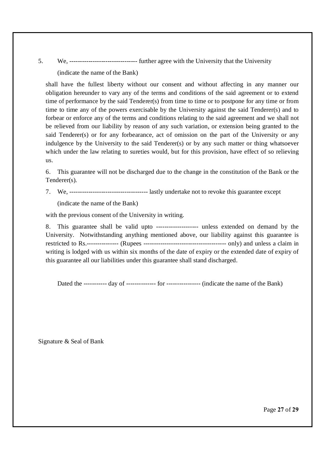5. We, -------------------------------- further agree with the University that the University (indicate the name of the Bank)

shall have the fullest liberty without our consent and without affecting in any manner our obligation hereunder to vary any of the terms and conditions of the said agreement or to extend time of performance by the said Tenderer(s) from time to time or to postpone for any time or from time to time any of the powers exercisable by the University against the said Tenderer(s) and to forbear or enforce any of the terms and conditions relating to the said agreement and we shall not be relieved from our liability by reason of any such variation, or extension being granted to the said Tenderer(s) or for any forbearance, act of omission on the part of the University or any indulgence by the University to the said Tenderer(s) or by any such matter or thing whatsoever which under the law relating to sureties would, but for this provision, have effect of so relieving us.

6. This guarantee will not be discharged due to the change in the constitution of the Bank or the Tenderer(s).

7. We, ------------------------------------- lastly undertake not to revoke this guarantee except

(indicate the name of the Bank)

with the previous consent of the University in writing.

8. This guarantee shall be valid upto -------------------- unless extended on demand by the University. Notwithstanding anything mentioned above, our liability against this guarantee is restricted to Rs.--------------- (Rupees --------------------------------------- only) and unless a claim in writing is lodged with us within six months of the date of expiry or the extended date of expiry of this guarantee all our liabilities under this guarantee shall stand discharged.

Dated the ----------- day of -------------- for ---------------- (indicate the name of the Bank)

Signature & Seal of Bank

Page **27** of **29**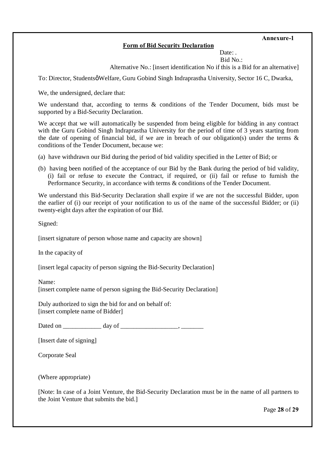# **Form of Bid Security Declaration**

**Annexure-1**

Date:

Bid No.:

Alternative No.: [insert identification No if this is a Bid for an alternative]

To: Director, Studentsø Welfare, Guru Gobind Singh Indraprastha University, Sector 16 C, Dwarka,

We, the undersigned, declare that:

We understand that, according to terms & conditions of the Tender Document, bids must be supported by a Bid-Security Declaration.

We accept that we will automatically be suspended from being eligible for bidding in any contract with the Guru Gobind Singh Indraprastha University for the period of time of 3 years starting from the date of opening of financial bid, if we are in breach of our obligation(s) under the terms  $\&$ conditions of the Tender Document, because we:

- (a) have withdrawn our Bid during the period of bid validity specified in the Letter of Bid; or
- (b) having been notified of the acceptance of our Bid by the Bank during the period of bid validity, (i) fail or refuse to execute the Contract, if required, or (ii) fail or refuse to furnish the Performance Security, in accordance with terms & conditions of the Tender Document.

We understand this Bid-Security Declaration shall expire if we are not the successful Bidder, upon the earlier of (i) our receipt of your notification to us of the name of the successful Bidder; or (ii) twenty-eight days after the expiration of our Bid.

Signed:

[insert signature of person whose name and capacity are shown]

In the capacity of

[insert legal capacity of person signing the Bid-Security Declaration]

Name:

[insert complete name of person signing the Bid-Security Declaration]

Duly authorized to sign the bid for and on behalf of: [insert complete name of Bidder]

Dated on \_\_\_\_\_\_\_\_\_\_\_\_ day of \_\_\_\_\_\_\_\_\_\_\_\_\_\_\_\_\_\_, \_\_\_\_\_\_\_

[Insert date of signing]

Corporate Seal

(Where appropriate)

[Note: In case of a Joint Venture, the Bid-Security Declaration must be in the name of all partners to the Joint Venture that submits the bid.]

Page **28** of **29**